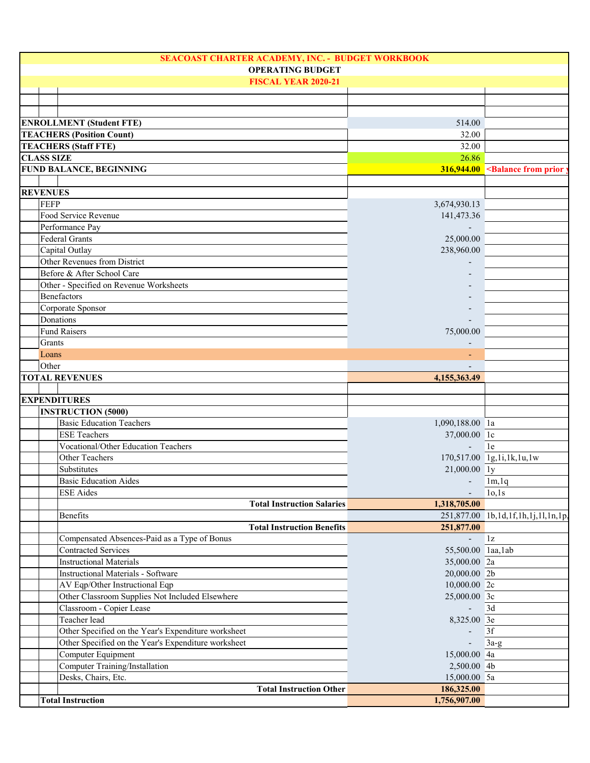| SEACOAST CHARTER ACADEMY, INC. - BUDGET WORKBOOK    |                          |                                                          |
|-----------------------------------------------------|--------------------------|----------------------------------------------------------|
| <b>OPERATING BUDGET</b>                             |                          |                                                          |
| <b>FISCAL YEAR 2020-21</b>                          |                          |                                                          |
|                                                     |                          |                                                          |
|                                                     |                          |                                                          |
| <b>ENROLLMENT (Student FTE)</b>                     | 514.00                   |                                                          |
| <b>TEACHERS (Position Count)</b>                    | 32.00                    |                                                          |
| <b>TEACHERS (Staff FTE)</b>                         | 32.00                    |                                                          |
| <b>CLASS SIZE</b>                                   | 26.86                    |                                                          |
| FUND BALANCE, BEGINNING                             |                          | $316,944.00$ <balance from="" prior<="" td=""></balance> |
|                                                     |                          |                                                          |
| <b>REVENUES</b>                                     |                          |                                                          |
| <b>FEFP</b>                                         | 3,674,930.13             |                                                          |
| Food Service Revenue                                | 141,473.36               |                                                          |
| Performance Pay                                     |                          |                                                          |
| <b>Federal Grants</b>                               | 25,000.00                |                                                          |
| Capital Outlay                                      | 238,960.00               |                                                          |
| Other Revenues from District                        |                          |                                                          |
| Before & After School Care                          |                          |                                                          |
| Other - Specified on Revenue Worksheets             |                          |                                                          |
| Benefactors                                         |                          |                                                          |
| Corporate Sponsor                                   |                          |                                                          |
| Donations                                           |                          |                                                          |
| <b>Fund Raisers</b>                                 | 75,000.00                |                                                          |
| Grants                                              |                          |                                                          |
| Loans                                               |                          |                                                          |
| Other                                               |                          |                                                          |
| <b>TOTAL REVENUES</b>                               | 4,155,363.49             |                                                          |
|                                                     |                          |                                                          |
| <b>EXPENDITURES</b>                                 |                          |                                                          |
| <b>INSTRUCTION (5000)</b>                           |                          |                                                          |
| <b>Basic Education Teachers</b>                     | 1,090,188.00 la          |                                                          |
| <b>ESE Teachers</b>                                 | 37,000.00 lc             |                                                          |
| Vocational/Other Education Teachers                 | $\blacksquare$           | 1e                                                       |
| Other Teachers                                      |                          | 170,517.00 1g,1i,1k,1u,1w                                |
| <b>Substitutes</b>                                  | 21,000.00 ly             |                                                          |
| <b>Basic Education Aides</b>                        | $-$ 1m, 1q               |                                                          |
| ESE Aides                                           | $\overline{\phantom{0}}$ | 10,1s                                                    |
| <b>Total Instruction Salaries</b>                   | 1,318,705.00             |                                                          |
| Benefits                                            |                          | 251,877.00 1b,1d,1f,1h,1j,1l,1n,1p,                      |
| <b>Total Instruction Benefits</b>                   | 251,877.00               |                                                          |
| Compensated Absences-Paid as a Type of Bonus        | $\overline{a}$           | $1\mathrm{z}$                                            |
| <b>Contracted Services</b>                          | 55,500.00 laa, lab       |                                                          |
| <b>Instructional Materials</b>                      | 35,000.00 2a             |                                                          |
| <b>Instructional Materials - Software</b>           | 20,000.00 2b             |                                                          |
| AV Eqp/Other Instructional Eqp                      | 10,000.00 2c             |                                                          |
| Other Classroom Supplies Not Included Elsewhere     | 25,000.00 3c             |                                                          |
| Classroom - Copier Lease                            |                          | 3d                                                       |
| Teacher lead                                        | 8,325.00 3e              |                                                          |
| Other Specified on the Year's Expenditure worksheet |                          | 3f                                                       |
| Other Specified on the Year's Expenditure worksheet | $\overline{a}$           | $3a-g$                                                   |
| Computer Equipment                                  | 15,000.00 4a             |                                                          |
| Computer Training/Installation                      | 2,500.00 4b              |                                                          |
| Desks, Chairs, Etc.                                 | 15,000.00 5a             |                                                          |
| <b>Total Instruction Other</b>                      | 186,325.00               |                                                          |
| <b>Total Instruction</b>                            | 1,756,907.00             |                                                          |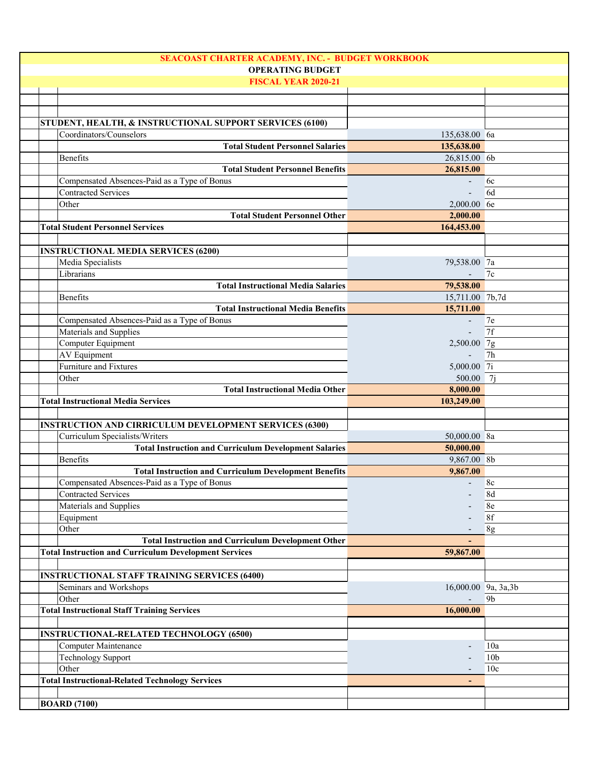| SEACOAST CHARTER ACADEMY, INC. - BUDGET WORKBOOK              |                          |                 |
|---------------------------------------------------------------|--------------------------|-----------------|
| <b>OPERATING BUDGET</b>                                       |                          |                 |
| <b>FISCAL YEAR 2020-21</b>                                    |                          |                 |
|                                                               |                          |                 |
|                                                               |                          |                 |
|                                                               |                          |                 |
| STUDENT, HEALTH, & INSTRUCTIONAL SUPPORT SERVICES (6100)      |                          |                 |
| Coordinators/Counselors                                       | 135,638.00 6a            |                 |
| <b>Total Student Personnel Salaries</b>                       | 135,638.00               |                 |
| Benefits                                                      | 26,815.00 6b             |                 |
| <b>Total Student Personnel Benefits</b>                       | 26,815.00                |                 |
| Compensated Absences-Paid as a Type of Bonus                  |                          | 6c              |
| <b>Contracted Services</b>                                    |                          | 6d              |
| Other                                                         | 2,000.00 6e              |                 |
| <b>Total Student Personnel Other</b>                          | 2,000.00                 |                 |
| <b>Total Student Personnel Services</b>                       | 164,453.00               |                 |
|                                                               |                          |                 |
| <b>INSTRUCTIONAL MEDIA SERVICES (6200)</b>                    |                          |                 |
| Media Specialists                                             | 79,538.00 7a             |                 |
|                                                               |                          |                 |
| Librarians                                                    |                          | 7c              |
| <b>Total Instructional Media Salaries</b>                     | 79,538.00                |                 |
| <b>Benefits</b>                                               | 15,711.00 7b,7d          |                 |
| <b>Total Instructional Media Benefits</b>                     | 15,711.00                |                 |
| Compensated Absences-Paid as a Type of Bonus                  | $\overline{\phantom{a}}$ | 7e              |
| Materials and Supplies                                        |                          | 7f              |
| Computer Equipment                                            | 2,500.00 7g              |                 |
| <b>AV</b> Equipment                                           |                          | 7h              |
| Furniture and Fixtures                                        | 5,000.00 7i              |                 |
| Other                                                         | 500.00                   | 7i              |
| <b>Total Instructional Media Other</b>                        | 8,000.00                 |                 |
| <b>Total Instructional Media Services</b>                     | 103,249.00               |                 |
|                                                               |                          |                 |
| <b>INSTRUCTION AND CIRRICULUM DEVELOPMENT SERVICES (6300)</b> |                          |                 |
|                                                               |                          |                 |
| Curriculum Specialists/Writers                                | 50,000.00 8a             |                 |
| <b>Total Instruction and Curriculum Development Salaries</b>  | 50,000.00                |                 |
| Benefits                                                      | 9,867.00 8b              |                 |
| <b>Total Instruction and Curriculum Development Benefits</b>  | 9,867.00                 |                 |
| Compensated Absences-Paid as a Type of Bonus                  |                          | 8c              |
| Contracted Services                                           |                          | 8d              |
| Materials and Supplies                                        |                          | 8e              |
| Equipment                                                     |                          | 8f              |
| Other                                                         |                          | 8g              |
| <b>Total Instruction and Curriculum Development Other</b>     |                          |                 |
| <b>Total Instruction and Curriculum Development Services</b>  | 59,867.00                |                 |
|                                                               |                          |                 |
| <b>INSTRUCTIONAL STAFF TRAINING SERVICES (6400)</b>           |                          |                 |
| Seminars and Workshops                                        | 16,000.00 9a, 3a, 3b     |                 |
| Other                                                         |                          | 9b              |
|                                                               | 16,000.00                |                 |
| <b>Total Instructional Staff Training Services</b>            |                          |                 |
|                                                               |                          |                 |
| <b>INSTRUCTIONAL-RELATED TECHNOLOGY (6500)</b>                |                          |                 |
| Computer Maintenance                                          |                          | 10a             |
| <b>Technology Support</b>                                     |                          | 10 <sub>b</sub> |
| Other                                                         |                          | 10 <sub>c</sub> |
| <b>Total Instructional-Related Technology Services</b>        |                          |                 |
|                                                               |                          |                 |
| <b>BOARD</b> (7100)                                           |                          |                 |
|                                                               |                          |                 |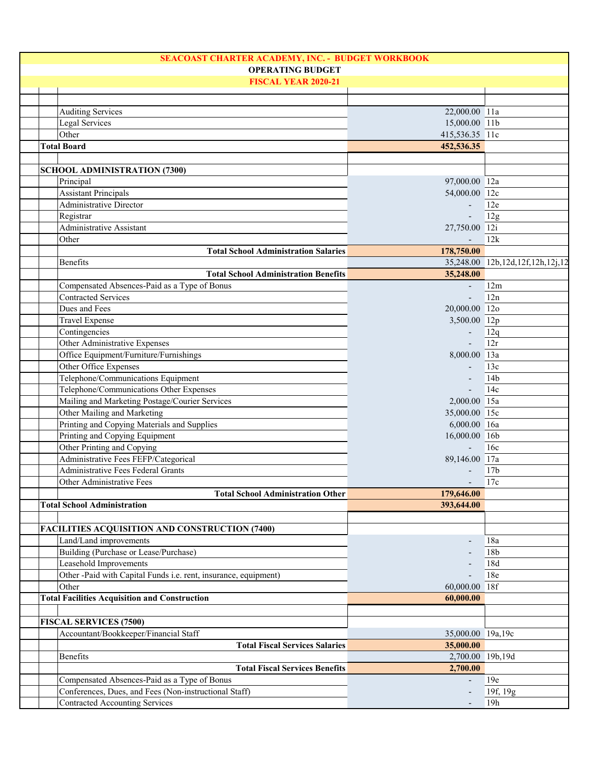| SEACOAST CHARTER ACADEMY, INC. - BUDGET WORKBOOK                |                          |                                  |
|-----------------------------------------------------------------|--------------------------|----------------------------------|
| <b>OPERATING BUDGET</b>                                         |                          |                                  |
| <b>FISCAL YEAR 2020-21</b>                                      |                          |                                  |
|                                                                 |                          |                                  |
| <b>Auditing Services</b>                                        | 22,000.00 11a            |                                  |
| Legal Services                                                  | 15,000.00 11b            |                                  |
| Other                                                           | 415,536.35 11c           |                                  |
| <b>Total Board</b>                                              | 452,536.35               |                                  |
|                                                                 |                          |                                  |
| <b>SCHOOL ADMINISTRATION (7300)</b>                             |                          |                                  |
| Principal                                                       | 97,000.00 12a            |                                  |
| <b>Assistant Principals</b>                                     | 54,000.00 12c            |                                  |
| Administrative Director                                         |                          | 12e                              |
|                                                                 |                          |                                  |
| Registrar                                                       |                          | 12g                              |
| <b>Administrative Assistant</b>                                 | 27,750.00 12i            |                                  |
| Other                                                           |                          | 12k                              |
| <b>Total School Administration Salaries</b>                     | 178,750.00               |                                  |
| Benefits                                                        |                          | 35,248.00 12b,12d,12f,12h,12j,12 |
| <b>Total School Administration Benefits</b>                     | 35,248.00                |                                  |
| Compensated Absences-Paid as a Type of Bonus                    | $\overline{\phantom{a}}$ | 12m                              |
| <b>Contracted Services</b>                                      |                          | 12n                              |
| Dues and Fees                                                   | 20,000.00 12o            |                                  |
| <b>Travel Expense</b>                                           | 3,500.00 12p             |                                  |
| Contingencies                                                   |                          | 12q                              |
| Other Administrative Expenses                                   |                          | 12r                              |
| Office Equipment/Furniture/Furnishings                          | 8,000.00 13a             |                                  |
| Other Office Expenses                                           |                          | 13c                              |
| Telephone/Communications Equipment                              |                          | 14 <sub>b</sub>                  |
| Telephone/Communications Other Expenses                         |                          | 14c                              |
| Mailing and Marketing Postage/Courier Services                  | 2,000.00 15a             |                                  |
| Other Mailing and Marketing                                     | 35,000.00 15c            |                                  |
| Printing and Copying Materials and Supplies                     | 6,000.00 16a             |                                  |
| Printing and Copying Equipment                                  | 16,000.00 16b            |                                  |
| Other Printing and Copying                                      |                          | 16c                              |
| Administrative Fees FEFP/Categorical                            | 89,146.00 17a            |                                  |
| Administrative Fees Federal Grants                              |                          | 17 <sub>b</sub>                  |
| Other Administrative Fees                                       |                          | 17c                              |
| <b>Total School Administration Other</b>                        | 179,646.00               |                                  |
| <b>Total School Administration</b>                              | 393,644.00               |                                  |
|                                                                 |                          |                                  |
| <b>FACILITIES ACQUISITION AND CONSTRUCTION (7400)</b>           |                          |                                  |
| Land/Land improvements                                          |                          | 18a                              |
| Building (Purchase or Lease/Purchase)                           |                          | 18 <sub>b</sub>                  |
|                                                                 |                          |                                  |
| Leasehold Improvements                                          |                          | 18d                              |
| Other -Paid with Capital Funds i.e. rent, insurance, equipment) |                          | 18e                              |
| Other                                                           | 60,000.00 18f            |                                  |
| <b>Total Facilities Acquisition and Construction</b>            | 60,000.00                |                                  |
|                                                                 |                          |                                  |
| <b>FISCAL SERVICES (7500)</b>                                   |                          |                                  |
| Accountant/Bookkeeper/Financial Staff                           | 35,000.00 19a,19c        |                                  |
| <b>Total Fiscal Services Salaries</b>                           | 35,000.00                |                                  |
| Benefits                                                        | 2,700.00 19b,19d         |                                  |
| <b>Total Fiscal Services Benefits</b>                           | 2,700.00                 |                                  |
| Compensated Absences-Paid as a Type of Bonus                    |                          | 19e                              |
| Conferences, Dues, and Fees (Non-instructional Staff)           |                          | 19f, 19g                         |
| <b>Contracted Accounting Services</b>                           |                          | 19h                              |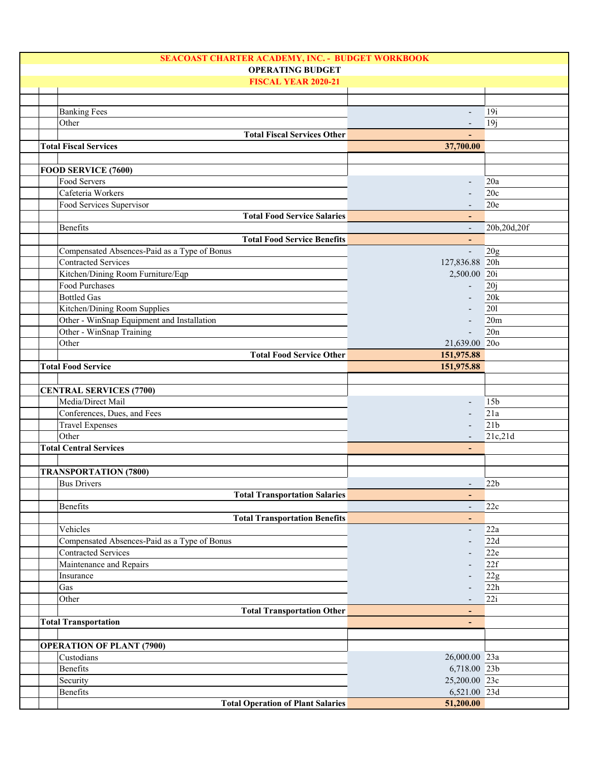|                                              | SEACOAST CHARTER ACADEMY, INC. - BUDGET WORKBOOK |                 |  |
|----------------------------------------------|--------------------------------------------------|-----------------|--|
|                                              | <b>OPERATING BUDGET</b>                          |                 |  |
| <b>FISCAL YEAR 2020-21</b>                   |                                                  |                 |  |
|                                              |                                                  |                 |  |
| <b>Banking Fees</b>                          |                                                  | 19i             |  |
| Other                                        |                                                  | 19j             |  |
| <b>Total Fiscal Services Other</b>           |                                                  |                 |  |
| <b>Total Fiscal Services</b>                 | 37,700.00                                        |                 |  |
|                                              |                                                  |                 |  |
| FOOD SERVICE (7600)                          |                                                  |                 |  |
| Food Servers                                 |                                                  | 20a             |  |
| Cafeteria Workers                            |                                                  | 20c             |  |
|                                              |                                                  |                 |  |
| Food Services Supervisor                     |                                                  | 20e             |  |
| <b>Total Food Service Salaries</b>           |                                                  |                 |  |
| Benefits                                     |                                                  | 20b,20d,20f     |  |
| <b>Total Food Service Benefits</b>           |                                                  |                 |  |
| Compensated Absences-Paid as a Type of Bonus | $\mathbf{r}$                                     | 20g             |  |
| <b>Contracted Services</b>                   | 127,836.88 20h                                   |                 |  |
| Kitchen/Dining Room Furniture/Eqp            | 2,500.00 20i                                     |                 |  |
| Food Purchases                               |                                                  | 20j             |  |
| <b>Bottled Gas</b>                           |                                                  | 20k             |  |
| Kitchen/Dining Room Supplies                 |                                                  | 201             |  |
| Other - WinSnap Equipment and Installation   |                                                  | 20m             |  |
| Other - WinSnap Training                     |                                                  | 20n             |  |
| Other                                        | 21,639.00 20o                                    |                 |  |
| <b>Total Food Service Other</b>              | 151,975.88                                       |                 |  |
| <b>Total Food Service</b>                    | 151,975.88                                       |                 |  |
|                                              |                                                  |                 |  |
| <b>CENTRAL SERVICES (7700)</b>               |                                                  |                 |  |
| Media/Direct Mail                            |                                                  | 15 <sub>b</sub> |  |
| Conferences, Dues, and Fees                  |                                                  | 21a             |  |
| <b>Travel Expenses</b>                       |                                                  | 21 <sub>b</sub> |  |
| Other                                        |                                                  | 21c,21d         |  |
| <b>Total Central Services</b>                |                                                  |                 |  |
|                                              |                                                  |                 |  |
| <b>TRANSPORTATION (7800)</b>                 |                                                  |                 |  |
| <b>Bus Drivers</b>                           |                                                  | 22b             |  |
| <b>Total Transportation Salaries</b>         | $\overline{\phantom{0}}$                         |                 |  |
| Benefits                                     | $\overline{\phantom{a}}$                         | 22c             |  |
| <b>Total Transportation Benefits</b>         |                                                  |                 |  |
| Vehicles                                     | $\overline{\phantom{a}}$                         | 22a             |  |
| Compensated Absences-Paid as a Type of Bonus |                                                  | 22d             |  |
| <b>Contracted Services</b>                   |                                                  | 22e             |  |
| Maintenance and Repairs                      |                                                  | 22f             |  |
| Insurance                                    |                                                  | 22g             |  |
| Gas                                          |                                                  | 22h             |  |
| Other                                        |                                                  | 22i             |  |
| <b>Total Transportation Other</b>            | ٠                                                |                 |  |
| <b>Total Transportation</b>                  | $\overline{\phantom{0}}$                         |                 |  |
|                                              |                                                  |                 |  |
| <b>OPERATION OF PLANT (7900)</b>             |                                                  |                 |  |
| Custodians                                   | 26,000.00 23a                                    |                 |  |
| Benefits                                     | 6,718.00 23b                                     |                 |  |
|                                              | 25,200.00 23c                                    |                 |  |
| Security                                     |                                                  |                 |  |
| Benefits                                     | 6,521.00 23d                                     |                 |  |
| <b>Total Operation of Plant Salaries</b>     | 51,200.00                                        |                 |  |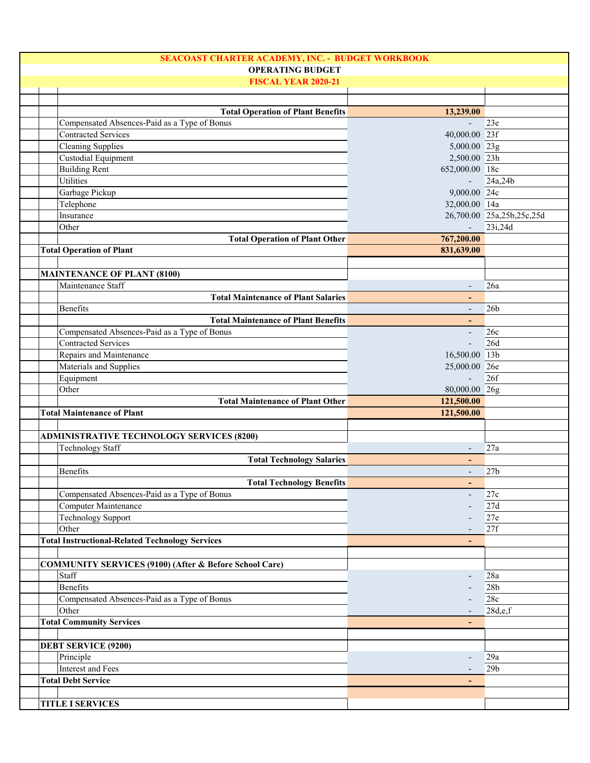| SEACOAST CHARTER ACADEMY, INC. - BUDGET WORKBOOK                  |                          |                           |
|-------------------------------------------------------------------|--------------------------|---------------------------|
| <b>OPERATING BUDGET</b>                                           |                          |                           |
| <b>FISCAL YEAR 2020-21</b>                                        |                          |                           |
|                                                                   |                          |                           |
| <b>Total Operation of Plant Benefits</b>                          | 13,239.00                |                           |
| Compensated Absences-Paid as a Type of Bonus                      | $\overline{a}$           | 23e                       |
| <b>Contracted Services</b>                                        | 40,000.00 23f            |                           |
| <b>Cleaning Supplies</b>                                          | 5,000.00 23g             |                           |
| Custodial Equipment                                               | 2,500.00 23h             |                           |
| <b>Building Rent</b>                                              | 652,000.00 18c           |                           |
| Utilities                                                         |                          | 24a,24b                   |
| Garbage Pickup                                                    | $9,000.00\overline{24c}$ |                           |
| Telephone                                                         | 32,000.00 14a            |                           |
| Insurance                                                         |                          | 26,700.00 25a,25b,25c,25d |
| Other                                                             | $\mathbf{u}$             | 23i,24d                   |
|                                                                   | 767,200.00               |                           |
| <b>Total Operation of Plant Other</b>                             |                          |                           |
| <b>Total Operation of Plant</b>                                   | 831,639.00               |                           |
|                                                                   |                          |                           |
| <b>MAINTENANCE OF PLANT (8100)</b>                                |                          |                           |
| Maintenance Staff                                                 |                          | 26a                       |
| <b>Total Maintenance of Plant Salaries</b>                        |                          |                           |
| Benefits                                                          | $\overline{\phantom{a}}$ | 26 <sub>b</sub>           |
| <b>Total Maintenance of Plant Benefits</b>                        | $\overline{\phantom{a}}$ |                           |
| Compensated Absences-Paid as a Type of Bonus                      | $\blacksquare$           | 26c                       |
| <b>Contracted Services</b>                                        |                          | 26d                       |
| Repairs and Maintenance                                           | 16,500.00 13b            |                           |
| Materials and Supplies                                            | 25,000.00 26e            |                           |
| Equipment                                                         |                          | 26f                       |
| Other                                                             | 80,000.00 26g            |                           |
| <b>Total Maintenance of Plant Other</b>                           | 121,500.00               |                           |
| <b>Total Maintenance of Plant</b>                                 | 121,500.00               |                           |
|                                                                   |                          |                           |
| <b>ADMINISTRATIVE TECHNOLOGY SERVICES (8200)</b>                  |                          |                           |
| <b>Technology Staff</b>                                           |                          | 27a                       |
| <b>Total Technology Salaries</b>                                  |                          |                           |
| Benefits                                                          | $\overline{\phantom{a}}$ | 27 <sub>b</sub>           |
| <b>Total Technology Benefits</b>                                  |                          |                           |
| Compensated Absences-Paid as a Type of Bonus                      | $\overline{\phantom{a}}$ | 27c                       |
| Computer Maintenance                                              |                          | 27d                       |
| Technology Support                                                |                          | 27e                       |
| Other                                                             |                          | 27f                       |
| <b>Total Instructional-Related Technology Services</b>            |                          |                           |
|                                                                   |                          |                           |
|                                                                   |                          |                           |
| <b>COMMUNITY SERVICES (9100) (After &amp; Before School Care)</b> |                          |                           |
| Staff                                                             |                          | 28a                       |
| <b>Benefits</b>                                                   |                          | 28 <sub>b</sub>           |
| Compensated Absences-Paid as a Type of Bonus                      |                          | 28c                       |
| Other                                                             |                          | 28d,e,f                   |
| <b>Total Community Services</b>                                   |                          |                           |
|                                                                   |                          |                           |
|                                                                   |                          |                           |
| <b>DEBT SERVICE (9200)</b>                                        |                          |                           |
| Principle                                                         |                          | 29a                       |
| Interest and Fees                                                 |                          | 29 <sub>b</sub>           |
| <b>Total Debt Service</b>                                         | ٠                        |                           |
|                                                                   |                          |                           |